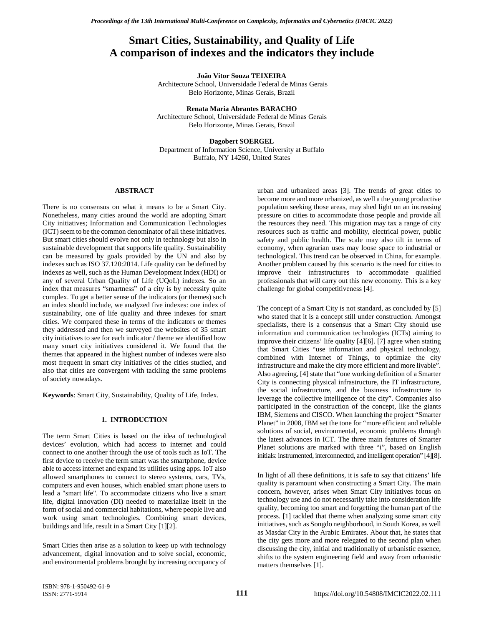# **Smart Cities, Sustainability, and Quality of Life A comparison of indexes and the indicators they include**

**João Vitor Souza TEIXEIRA**

Architecture School, Universidade Federal de Minas Gerais Belo Horizonte, Minas Gerais, Brazil

**Renata Maria Abrantes BARACHO** Architecture School, Universidade Federal de Minas Gerais Belo Horizonte, Minas Gerais, Brazil

**Dagobert SOERGEL** Department of Information Science, University at Buffalo Buffalo, NY 14260, United States

### **ABSTRACT**

There is no consensus on what it means to be a Smart City. Nonetheless, many cities around the world are adopting Smart City initiatives; Information and Communication Technologies (ICT) seem to be the common denominator of all these initiatives. But smart cities should evolve not only in technology but also in sustainable development that supports life quality. Sustainability can be measured by goals provided by the UN and also by indexes such as ISO 37.120:2014. Life quality can be defined by indexes as well, such as the Human Development Index (HDI) or any of several Urban Quality of Life (UQoL) indexes. So an index that measures "smartness" of a city is by necessity quite complex. To get a better sense of the indicators (or themes) such an index should include, we analyzed five indexes: one index of sustainability, one of life quality and three indexes for smart cities. We compared these in terms of the indicators or themes they addressed and then we surveyed the websites of 35 smart city initiatives to see for each indicator / theme we identified how many smart city initiatives considered it. We found that the themes that appeared in the highest number of indexes were also most frequent in smart city initiatives of the cities studied, and also that cities are convergent with tackling the same problems of society nowadays.

**Keywords**: Smart City, Sustainability, Quality of Life, Index.

### **1. INTRODUCTION**

The term Smart Cities is based on the idea of technological devices' evolution, which had access to internet and could connect to one another through the use of tools such as IoT. The first device to receive the term smart was the smartphone, device able to access internet and expand its utilities using apps. IoT also allowed smartphones to connect to stereo systems, cars, TVs, computers and even houses, which enabled smart phone users to lead a "smart life". To accommodate citizens who live a smart life, digital innovation (DI) needed to materialize itself in the form of social and commercial habitations, where people live and work using smart technologies. Combining smart devices, buildings and life, result in a Smart City [1][2].

Smart Cities then arise as a solution to keep up with technology advancement, digital innovation and to solve social, economic, and environmental problems brought by increasing occupancy of urban and urbanized areas [3]. The trends of great cities to become more and more urbanized, as well a the young productive population seeking those areas, may shed light on an increasing pressure on cities to accommodate those people and provide all the resources they need. This migration may tax a range of city resources such as traffic and mobility, electrical power, public safety and public health. The scale may also tilt in terms of economy, when agrarian uses may loose space to industrial or technological. This trend can be observed in China, for example. Another problem caused by this scenario is the need for cities to improve their infrastructures to accommodate qualified professionals that will carry out this new economy. This is a key challenge for global competitiveness [4].

The concept of a Smart City is not standard, as concluded by [5] who stated that it is a concept still under construction. Amongst specialists, there is a consensus that a Smart City should use information and communication technologies (ICTs) aiming to improve their citizens' life quality [4][6]. [7] agree when stating that Smart Cities "use information and physical technology, combined with Internet of Things, to optimize the city infrastructure and make the city more efficient and more livable". Also agreeing, [4] state that "one working definition of a Smarter City is connecting physical infrastructure, the IT infrastructure, the social infrastructure, and the business infrastructure to leverage the collective intelligence of the city". Companies also participated in the construction of the concept, like the giants IBM, Siemens and CISCO. When launching the project "Smarter Planet" in 2008, IBM set the tone for "more efficient and reliable solutions of social, environmental, economic problems through the latest advances in ICT. The three main features of Smarter Planet solutions are marked with three "i", based on English initials: instrumented, interconnected, and intelligent operation" [4][8].

In light of all these definitions, it is safe to say that citizens' life quality is paramount when constructing a Smart City. The main concern, however, arises when Smart City initiatives focus on technology use and do not necessarily take into consideration life quality, becoming too smart and forgetting the human part of the process. [1] tackled that theme when analyzing some smart city initiatives, such as Songdo neighborhood, in South Korea, as well as Masdar City in the Arabic Emirates. About that, he states that the city gets more and more relegated to the second plan when discussing the city, initial and traditionally of urbanistic essence, shifts to the system engineering field and away from urbanistic matters themselves [1].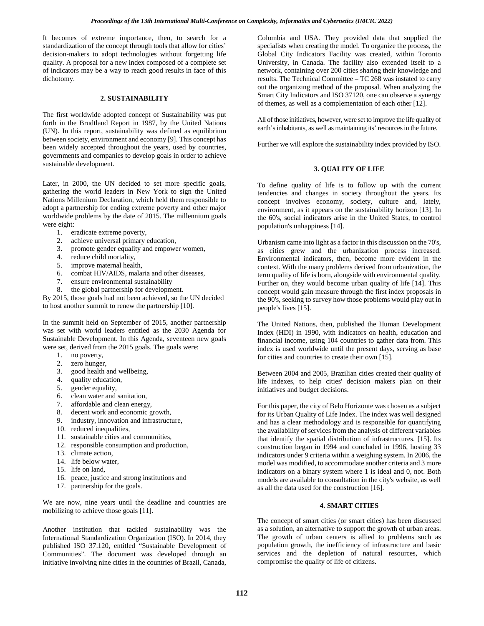It becomes of extreme importance, then, to search for a standardization of the concept through tools that allow for cities' decision-makers to adopt technologies without forgetting life quality. A proposal for a new index composed of a complete set of indicators may be a way to reach good results in face of this dichotomy.

### **2. SUSTAINABILITY**

The first worldwide adopted concept of Sustainability was put forth in the Brudtland Report in 1987, by the United Nations (UN). In this report, sustainability was defined as equilibrium between society, environment and economy [9]. This concept has been widely accepted throughout the years, used by countries, governments and companies to develop goals in order to achieve sustainable development.

Later, in 2000, the UN decided to set more specific goals, gathering the world leaders in New York to sign the United Nations Millenium Declaration, which held them responsible to adopt a partnership for ending extreme poverty and other major worldwide problems by the date of 2015. The millennium goals were eight:

- 1. eradicate extreme poverty,
- 2. achieve universal primary education,
- 3. promote gender equality and empower women,
- 4. reduce child mortality,
- 5. improve maternal health,
- 6. combat HIV/AIDS, malaria and other diseases,
- 7. ensure environmental sustainability
- 8. the global partnership for development.

By 2015, those goals had not been achieved, so the UN decided to host another summit to renew the partnership [10].

In the summit held on September of 2015, another partnership was set with world leaders entitled as the 2030 Agenda for Sustainable Development. In this Agenda, seventeen new goals were set, derived from the 2015 goals. The goals were:

- 1. no poverty,
- 2. zero hunger,
- 3. good health and wellbeing,
- 4. quality education,
- 5. gender equality,
- 6. clean water and sanitation,
- 7. affordable and clean energy,
- 8. decent work and economic growth,
- 9. industry, innovation and infrastructure,
- 10. reduced inequalities,
- 11. sustainable cities and communities,
- 12. responsible consumption and production,
- 13. climate action,
- 14. life below water,
- 15. life on land,
- 16. peace, justice and strong institutions and
- 17. partnership for the goals.

We are now, nine years until the deadline and countries are mobilizing to achieve those goals [11].

Another institution that tackled sustainability was the International Standardization Organization (ISO). In 2014, they published ISO 37.120, entitled "Sustainable Development of Communities". The document was developed through an initiative involving nine cities in the countries of Brazil, Canada,

Colombia and USA. They provided data that supplied the specialists when creating the model. To organize the process, the Global City Indicators Facility was created, within Toronto University, in Canada. The facility also extended itself to a network, containing over 200 cities sharing their knowledge and results. The Technical Committee – TC 268 was instated to carry out the organizing method of the proposal. When analyzing the Smart City Indicators and ISO 37120, one can observe a synergy of themes, as well as a complementation of each other [12].

All of those initiatives, however, were set to improve the life quality of earth's inhabitants, as well as maintaining its' resources in the future.

Further we will explore the sustainability index provided by ISO.

### **3. QUALITY OF LIFE**

To define quality of life is to follow up with the current tendencies and changes in society throughout the years. Its concept involves economy, society, culture and, lately, environment, as it appears on the sustainability horizon [13]. In the 60's, social indicators arise in the United States, to control population's unhappiness [14].

Urbanism came into light as a factor in this discussion on the 70's, as cities grew and the urbanization process increased. Environmental indicators, then, become more evident in the context. With the many problems derived from urbanization, the term quality of life is born, alongside with environmental quality. Further on, they would become urban quality of life [14]. This concept would gain measure through the first index proposals in the 90's, seeking to survey how those problems would play out in people's lives [15].

The United Nations, then, published the Human Development Index (HDI) in 1990, with indicators on health, education and financial income, using 104 countries to gather data from. This index is used worldwide until the present days, serving as base for cities and countries to create their own [15].

Between 2004 and 2005, Brazilian cities created their quality of life indexes, to help cities' decision makers plan on their initiatives and budget decisions.

For this paper, the city of Belo Horizonte was chosen as a subject for its Urban Quality of Life Index. The index was well designed and has a clear methodology and is responsible for quantifying the availability of services from the analysis of different variables that identify the spatial distribution of infrastructures. [15]. Its construction began in 1994 and concluded in 1996, hosting 33 indicators under 9 criteria within a weighing system. In 2006, the model was modified, to accommodate another criteria and 3 more indicators on a binary system where 1 is ideal and 0, not. Both models are available to consultation in the city's website, as well as all the data used for the construction [16].

### **4. SMART CITIES**

The concept of smart cities (or smart cities) has been discussed as a solution, an alternative to support the growth of urban areas. The growth of urban centers is allied to problems such as population growth, the inefficiency of infrastructure and basic services and the depletion of natural resources, which compromise the quality of life of citizens.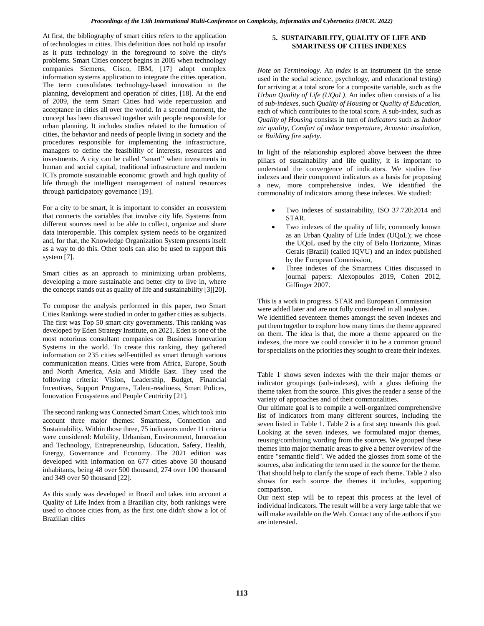At first, the bibliography of smart cities refers to the application of technologies in cities. This definition does not hold up insofar as it puts technology in the foreground to solve the city's problems. Smart Cities concept begins in 2005 when technology companies Siemens, Cisco, IBM, [17] adopt complex information systems application to integrate the cities operation. The term consolidates technology-based innovation in the planning, development and operation of cities, [18]. At the end of 2009, the term Smart Cities had wide repercussion and acceptance in cities all over the world. In a second moment, the concept has been discussed together with people responsible for urban planning. It includes studies related to the formation of cities, the behavior and needs of people living in society and the procedures responsible for implementing the infrastructure, managers to define the feasibility of interests, resources and investments. A city can be called "smart" when investments in human and social capital, traditional infrastructure and modern ICTs promote sustainable economic growth and high quality of life through the intelligent management of natural resources through participatory governance [19].

For a city to be smart, it is important to consider an ecosystem that connects the variables that involve city life. Systems from different sources need to be able to collect, organize and share data interoperable. This complex system needs to be organized and, for that, the Knowledge Organization System presents itself as a way to do this. Other tools can also be used to support this system [7].

Smart cities as an approach to minimizing urban problems, developing a more sustainable and better city to live in, where the concept stands out as quality of life and sustainability [3][20].

To compose the analysis performed in this paper, two Smart Cities Rankings were studied in order to gather cities as subjects. The first was Top 50 smart city governments. This ranking was developed by Eden Strategy Institute, on 2021. Eden is one of the most notorious consultant companies on Business Innovation Systems in the world. To create this ranking, they gathered information on 235 cities self-entitled as smart through various communication means. Cities were from Africa, Europe, South and North America, Asia and Middle East. They used the following criteria: Vision, Leadership, Budget, Financial Incentives, Support Programs, Talent-readiness, Smart Polices, Innovation Ecosystems and People Centricity [21].

The second ranking was Connected Smart Cities, which took into account three major themes: Smartness, Connection and Sustainability. Within those three, 75 indicators under 11 criteria were considered: Mobility, Urbanism, Environment, Innovation and Technology, Entrepreneurship, Education, Safety, Health, Energy, Governance and Economy. The 2021 edition was developed with information on 677 cities above 50 thousand inhabitants, being 48 over 500 thousand, 274 over 100 thousand and 349 over 50 thousand [22].

As this study was developed in Brazil and takes into account a Quality of Life Index from a Brazilian city, both rankings were used to choose cities from, as the first one didn't show a lot of Brazilian cities

### **5. SUSTAINABILITY, QUALITY OF LIFE AND SMARTNESS OF CITIES INDEXES**

*Note on Terminology*. An *index* is an instrument (in the sense used in the social science, psychology, and educational testing) for arriving at a total score for a composite variable, such as the *Urban Quality of Life (UQoL)*. An index often consists of a list of *sub-indexes*, such *Quality of Housing* or *Quality of Education*, each of which contributes to the total score. A sub-index, such as *Quality of Housing* consists in turn of *indicators* such as *Indoor air quality*, *Comfort of indoor temperature, Acoustic insulation*, or *Building fire safety*.

In light of the relationship explored above between the three pillars of sustainability and life quality, it is important to understand the convergence of indicators. We studies five indexes and their component indicators as a basis for proposing a new, more comprehensive index. We identified the commonality of indicators among these indexes. We studied:

- Two indexes of sustainability, ISO 37.720:2014 and STAR.
- Two indexes of the quality of life, commonly known as an Urban Quality of Life Index (UQoL); we chose the UQoL used by the city of Belo Horizonte, Minas Gerais (Brazil) (called IQVU) and an index published by the European Commission,
- Three indexes of the Smartness Cities discussed in journal papers: Alexopoulos 2019, Cohen 2012, Giffinger 2007.

This is a work in progress. STAR and European Commission were added later and are not fully considered in all analyses. We identified seventeen themes amongst the seven indexes and put them together to explore how many times the theme appeared on them. The idea is that, the more a theme appeared on the indexes, the more we could consider it to be a common ground for specialists on the priorities they sought to create their indexes.

Table 1 shows seven indexes with the their major themes or indicator groupings (sub-indexes), with a gloss defining the theme taken from the source. This gives the reader a sense of the variety of approaches and of their commonalities.

Our ultimate goal is to compile a well-organized comprehensive list of indicators from many different sources, including the seven listed in Table 1. Table 2 is a first step towards this goal. Looking at the seven indexes, we formulated major themes, reusing/combining wording from the sources. We grouped these themes into major thematic areas to give a better overview of the entire "semantic field". We added the glosses from some of the sources, also indicating the term used in the source for the theme. That should help to clarify the scope of each theme. Table 2 also shows for each source the themes it includes, supporting comparison.

Our next step will be to repeat this process at the level of individual indicators. The result will be a very large table that we will make available on the Web. Contact any of the authors if you are interested.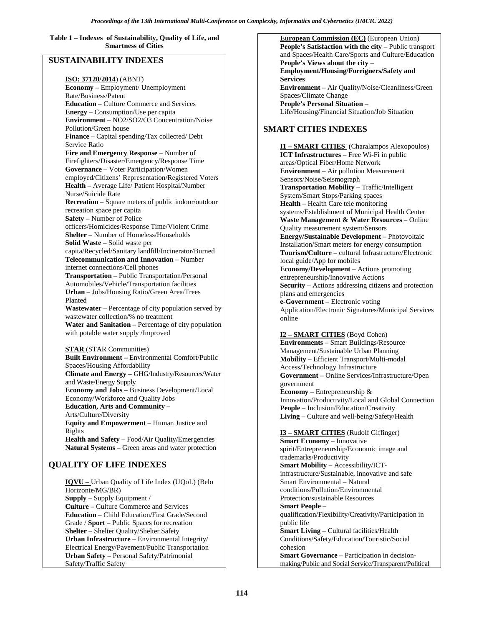**Table 1 – Indexes of Sustainability, Quality of Life, and Smartness of Cities**

## **SUSTAINABILITY INDEXES**

**ISO: 37120/2014**) (ABNT) **Economy** – Employment/ Unemployment Rate/Business/Patent **Education** – Culture Commerce and Services **Energy** – Consumption/Use per capita **Environment** – NO2/SO2/O3 Concentration/Noise Pollution/Green house **Finance** – Capital spending/Tax collected/ Debt Service Ratio **Fire and Emergency Response** – Number of Firefighters/Disaster/Emergency/Response Time **Governance** – Voter Participation/Women employed/Citizens' Representation/Registered Voters **Health** – Average Life/ Patient Hospital/Number Nurse/Suicide Rate **Recreation** – Square meters of public indoor/outdoor recreation space per capita **Safety** – Number of Police officers/Homicides/Response Time/Violent Crime **Shelter** – Number of Homeless/Households **Solid Waste** – Solid waste per capita/Recycled/Sanitary landfill/Incinerator/Burned **Telecommunication and Innovation** – Number internet connections/Cell phones **Transportation** – Public Transportation/Personal Automobiles/Vehicle/Transportation facilities **Urban** – Jobs/Housing Ratio/Green Area/Trees Planted **Wastewater** – Percentage of city population served by wastewater collection/% no treatment **Water and Sanitation** – Percentage of city population with potable water supply /Improved **STAR** (STAR Communities) **Built Environment –** Environmental Comfort/Public Spaces/Housing Affordability **Climate and Energy –** GHG/Industry/Resources/Water and Waste/Energy Supply **Economy and Jobs –** Business Development/Local Economy/Workforce and Quality Jobs **Education, Arts and Community –** Arts/Culture/Diversity

**Equity and Empowerment** – Human Justice and Rights

**Health and Safety** – Food/Air Quality/Emergencies **Natural Systems** – Green areas and water protection

# **QUALITY OF LIFE INDEXES**

**IQVU –** Urban Quality of Life Index (UQoL) (Belo Horizonte/MG/BR) **Supply** – Supply Equipment / **Culture** – Culture Commerce and Services **Education** – Child Education/First Grade/Second Grade / **Sport** – Public Spaces for recreation **Shelter** – Shelter Quality/Shelter Safety **Urban Infrastructure** – Environmental Integrity/ Electrical Energy/Pavement/Public Transportation **Urban Safety** – Personal Safety/Patrimonial Safety/Traffic Safety

**European Commission (EC)** (European Union) **People's Satisfaction with the city** – Public transport and Spaces/Health Care/Sports and Culture/Education **People's Views about the city** – **Employment/Housing/Foreigners/Safety and Services Environment** – Air Quality/Noise/Cleanliness/Green Spaces/Climate Change **People's Personal Situation** – Life/Housing/Financial Situation/Job Situation

# **SMART CITIES INDEXES**

**I1 – SMART CITIES** (Charalampos Alexopoulos) **ICT Infrastructures** – Free Wi-Fi in public areas/Optical Fiber/Home Network **Environment** – Air pollution Measurement Sensors/Noise/Seismograph **Transportation Mobility** – Traffic/Intelligent System/Smart Stops/Parking spaces **Health** – Health Care tele monitoring systems/Establishment of Municipal Health Center **Waste Management & Water Resources** – Online Quality measurement system/Sensors **Energy/Sustainable Development** – Photovoltaic Installation/Smart meters for energy consumption **Tourism/Culture** – cultural Infrastructure/Electronic local guide/App for mobiles **Economy/Development** – Actions promoting entrepreneurship/Innovative Actions **Security** – Actions addressing citizens and protection plans and emergencies **e-Government** – Electronic voting Application/Electronic Signatures/Municipal Services online

### **I2 – SMART CITIES** (Boyd Cohen)

**Environments** – Smart Buildings/Resource Management/Sustainable Urban Planning **Mobility** – Efficient Transport/Multi-modal Access/Technology Infrastructure **Government** – Online Services/Infrastructure/Open government **Economy** – Entrepreneurship & Innovation/Productivity/Local and Global Connection **People** – Inclusion/Education/Creativity **Living** – Culture and well-being/Safety/Health

# **I3 – SMART CITIES** (Rudolf Giffinger)

**Smart Economy** – Innovative spirit/Entrepreneurship/Economic image and trademarks/Productivity **Smart Mobility** – Accessibility/ICTinfrastructure/Sustainable, innovative and safe Smart Environmental – Natural conditions/Pollution/Environmental Protection/sustainable Resources **Smart People** – qualification/Flexibility/Creativity/Participation in public life **Smart Living** – Cultural facilities/Health Conditions/Safety/Education/Touristic/Social cohesion **Smart Governance** – Participation in decisionmaking/Public and Social Service/Transparent/Political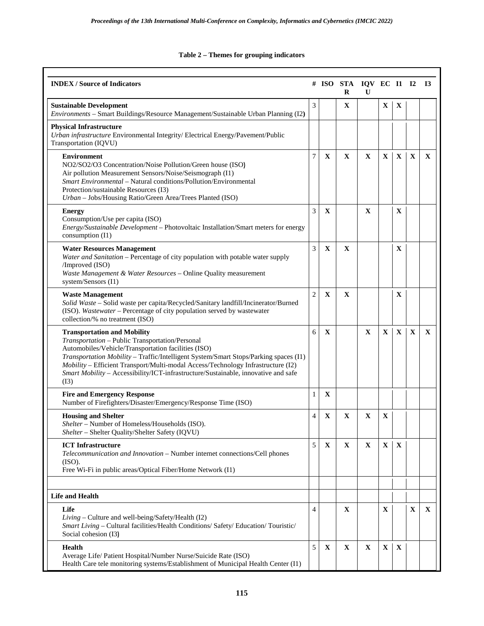## **Table 2 – Themes for grouping indicators**

| <b>INDEX / Source of Indicators</b>                                                                                                                                                                                                                                                                                                                                                                                    |                |             | # ISO STA IQV EC I1 I2<br>R | U            |              |             |              | <b>I3</b>    |
|------------------------------------------------------------------------------------------------------------------------------------------------------------------------------------------------------------------------------------------------------------------------------------------------------------------------------------------------------------------------------------------------------------------------|----------------|-------------|-----------------------------|--------------|--------------|-------------|--------------|--------------|
| <b>Sustainable Development</b><br>Environments - Smart Buildings/Resource Management/Sustainable Urban Planning (I2)                                                                                                                                                                                                                                                                                                   | 3              |             | X                           |              | $\mathbf X$  | $\mathbf X$ |              |              |
| <b>Physical Infrastructure</b><br>Urban infrastructure Environmental Integrity/ Electrical Energy/Pavement/Public<br>Transportation (IQVU)                                                                                                                                                                                                                                                                             |                |             |                             |              |              |             |              |              |
| <b>Environment</b><br>NO2/SO2/O3 Concentration/Noise Pollution/Green house (ISO)<br>Air pollution Measurement Sensors/Noise/Seismograph (I1)<br><i>Smart Environmental</i> – Natural conditions/Pollution/Environmental<br>Protection/sustainable Resources (I3)<br>Urban - Jobs/Housing Ratio/Green Area/Trees Planted (ISO)                                                                                          | 7              | $\mathbf X$ | $\mathbf X$                 | X            | $\mathbf{X}$ | X           | $\mathbf X$  | $\mathbf X$  |
| <b>Energy</b><br>Consumption/Use per capita (ISO)<br>Energy/Sustainable Development - Photovoltaic Installation/Smart meters for energy<br>consumption (I1)                                                                                                                                                                                                                                                            | 3              | $\mathbf X$ |                             | X            |              | X           |              |              |
| <b>Water Resources Management</b><br>Water and Sanitation - Percentage of city population with potable water supply<br>/Improved (ISO)<br>Waste Management & Water Resources - Online Quality measurement<br>system/Sensors (I1)                                                                                                                                                                                       | 3              | $\mathbf X$ | X                           |              |              | $\mathbf X$ |              |              |
| <b>Waste Management</b><br>Solid Waste - Solid waste per capita/Recycled/Sanitary landfill/Incinerator/Burned<br>(ISO). Wastewater - Percentage of city population served by wastewater<br>collection/% no treatment (ISO)                                                                                                                                                                                             | $\overline{2}$ | $\mathbf X$ | X                           |              |              | X           |              |              |
| <b>Transportation and Mobility</b><br>Transportation - Public Transportation/Personal<br>Automobiles/Vehicle/Transportation facilities (ISO)<br>Transportation Mobility - Traffic/Intelligent System/Smart Stops/Parking spaces (I1)<br>Mobility - Efficient Transport/Multi-modal Access/Technology Infrastructure (I2)<br>Smart Mobility - Accessibility/ICT-infrastructure/Sustainable, innovative and safe<br>(I3) | 6              | X           |                             | $\mathbf{X}$ | $\mathbf{X}$ | X           | $\mathbf{X}$ | $\mathbf{X}$ |
| <b>Fire and Emergency Response</b><br>Number of Firefighters/Disaster/Emergency/Response Time (ISO)                                                                                                                                                                                                                                                                                                                    | 1              | X           |                             |              |              |             |              |              |
| <b>Housing and Shelter</b><br>Shelter – Number of Homeless/Households (ISO).<br>Shelter - Shelter Quality/Shelter Safety (IQVU)                                                                                                                                                                                                                                                                                        | 4              | $\mathbf X$ | X                           | $\mathbf X$  | X            |             |              |              |
| <b>ICT</b> Infrastructure<br>Telecommunication and Innovation - Number internet connections/Cell phones<br>(ISO).<br>Free Wi-Fi in public areas/Optical Fiber/Home Network (I1)                                                                                                                                                                                                                                        | 5              | $\mathbf X$ | X                           | $\mathbf X$  | $\mathbf X$  | $\mathbf X$ |              |              |
| <b>Life and Health</b>                                                                                                                                                                                                                                                                                                                                                                                                 |                |             |                             |              |              |             |              |              |
| Life<br>Living – Culture and well-being/Safety/Health (I2)<br>Smart Living – Cultural facilities/Health Conditions/Safety/Education/Touristic/<br>Social cohesion (I3)                                                                                                                                                                                                                                                 | $\overline{4}$ |             | X                           |              | $\mathbf X$  |             | X            | $\mathbf X$  |
| <b>Health</b><br>Average Life/ Patient Hospital/Number Nurse/Suicide Rate (ISO)<br>Health Care tele monitoring systems/Establishment of Municipal Health Center (I1)                                                                                                                                                                                                                                                   | 5              | $\mathbf X$ | $\mathbf X$                 | $\mathbf X$  | $\mathbf X$  | $\mathbf X$ |              |              |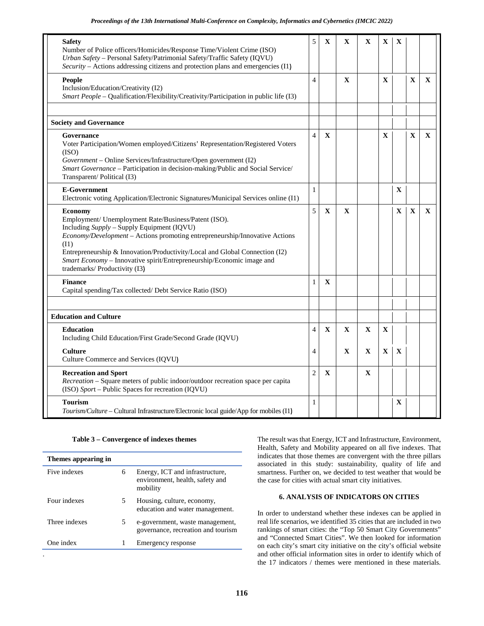| <b>Safety</b><br>Number of Police officers/Homicides/Response Time/Violent Crime (ISO)<br>Urban Safety - Personal Safety/Patrimonial Safety/Traffic Safety (IQVU)<br>Security – Actions addressing citizens and protection plans and emergencies (I1)                                                                                                                                                | 5              | $\mathbf X$ | X            | X            | $\mathbf X$  | X            |              |              |
|------------------------------------------------------------------------------------------------------------------------------------------------------------------------------------------------------------------------------------------------------------------------------------------------------------------------------------------------------------------------------------------------------|----------------|-------------|--------------|--------------|--------------|--------------|--------------|--------------|
| <b>People</b><br>Inclusion/Education/Creativity (I2)<br>Smart People – Qualification/Flexibility/Creativity/Participation in public life (I3)                                                                                                                                                                                                                                                        | $\overline{4}$ |             | $\mathbf{X}$ |              | $\mathbf{X}$ |              | $\mathbf{X}$ | $\mathbf{X}$ |
| <b>Society and Governance</b>                                                                                                                                                                                                                                                                                                                                                                        |                |             |              |              |              |              |              |              |
| Governance<br>Voter Participation/Women employed/Citizens' Representation/Registered Voters<br>(ISO)<br>Government - Online Services/Infrastructure/Open government (I2)<br>Smart Governance - Participation in decision-making/Public and Social Service/<br>Transparent/Political (I3)                                                                                                             | $\overline{4}$ | $\mathbf X$ |              |              | X            |              | X            | $\mathbf X$  |
| <b>E-Government</b><br>Electronic voting Application/Electronic Signatures/Municipal Services online (I1)                                                                                                                                                                                                                                                                                            | 1              |             |              |              |              | $\mathbf X$  |              |              |
| <b>Economy</b><br>Employment/ Unemployment Rate/Business/Patent (ISO).<br>Including Supply - Supply Equipment (IQVU)<br>Economy/Development - Actions promoting entrepreneurship/Innovative Actions<br>(11)<br>Entrepreneurship & Innovation/Productivity/Local and Global Connection (I2)<br>Smart Economy - Innovative spirit/Entrepreneurship/Economic image and<br>trademarks/ Productivity (I3) | 5              | $\mathbf X$ | $\mathbf{X}$ |              |              | $\mathbf{X}$ | $\mathbf X$  | $\mathbf{X}$ |
| <b>Finance</b><br>Capital spending/Tax collected/ Debt Service Ratio (ISO)                                                                                                                                                                                                                                                                                                                           | 1              | X           |              |              |              |              |              |              |
| <b>Education and Culture</b>                                                                                                                                                                                                                                                                                                                                                                         |                |             |              |              |              |              |              |              |
| <b>Education</b><br>Including Child Education/First Grade/Second Grade (IQVU)                                                                                                                                                                                                                                                                                                                        | $\overline{4}$ | $\mathbf X$ | $\mathbf X$  | $\mathbf X$  | $\mathbf X$  |              |              |              |
| <b>Culture</b><br>Culture Commerce and Services (IQVU)                                                                                                                                                                                                                                                                                                                                               | $\overline{4}$ |             | $\mathbf{X}$ | $\mathbf{x}$ | $\mathbf{X}$ | $\mathbf{X}$ |              |              |
| <b>Recreation and Sport</b><br><i>Recreation</i> – Square meters of public indoor/outdoor recreation space per capita<br>(ISO) Sport - Public Spaces for recreation (IQVU)                                                                                                                                                                                                                           | $\overline{c}$ | X           |              | X            |              |              |              |              |
| <b>Tourism</b><br>Tourism/Culture - Cultural Infrastructure/Electronic local guide/App for mobiles (I1)                                                                                                                                                                                                                                                                                              | 1              |             |              |              |              | $\mathbf X$  |              |              |

### **Table 3 – Convergence of indexes themes**

| Themes appearing in |   |                                                                                |
|---------------------|---|--------------------------------------------------------------------------------|
| Five indexes        | 6 | Energy, ICT and infrastructure,<br>environment, health, safety and<br>mobility |
| Four indexes        | 5 | Housing, culture, economy,<br>education and water management.                  |
| Three indexes       | 5 | e-government, waste management,<br>governance, recreation and tourism          |
| One index           | 1 | Emergency response                                                             |
|                     |   |                                                                                |

The result was that Energy, ICT and Infrastructure, Environment, Health, Safety and Mobility appeared on all five indexes. That indicates that those themes are convergent with the three pillars associated in this study: sustainability, quality of life and smartness. Further on, we decided to test weather that would be the case for cities with actual smart city initiatives.

### **6. ANALYSIS OF INDICATORS ON CITIES**

In order to understand whether these indexes can be applied in real life scenarios, we identified 35 cities that are included in two rankings of smart cities: the "Top 50 Smart City Governments" and "Connected Smart Cities". We then looked for information on each city's smart city initiative on the city's official website and other official information sites in order to identify which of the 17 indicators / themes were mentioned in these materials.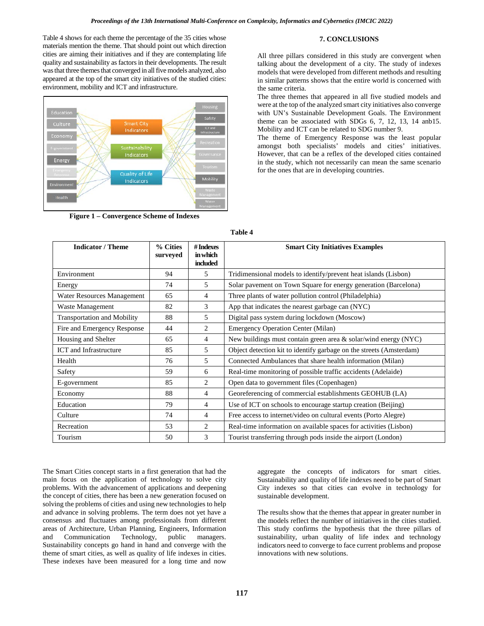Table 4 shows for each theme the percentage of the 35 cities whose materials mention the theme. That should point out which direction cities are aiming their initiatives and if they are contemplating life quality and sustainability as factors in their developments. The result was that three themes that converged in allfive models analyzed, also appeared at the top of the smart city initiatives of the studied cities: environment, mobility and ICT and infrastructure.



**Figure 1 – Convergence Scheme of Indexes**

**7. CONCLUSIONS**

All three pillars considered in this study are convergent when talking about the development of a city. The study of indexes models that were developed from different methods and resulting in similar patterns shows that the entire world is concerned with the same criteria.

The three themes that appeared in all five studied models and were at the top of the analyzed smart city initiatives also converge with UN's Sustainable Development Goals. The Environment theme can be associated with SDGs 6, 7, 12, 13, 14 anb15. Mobility and ICT can be related to SDG number 9.

The theme of Emergency Response was the least popular amongst both specialists' models and cities' initiatives. However, that can be a reflex of the developed cities contained in the study, which not necessarily can mean the same scenario for the ones that are in developing countries.

| <b>Indicator / Theme</b>           | % Cities<br>surveyed | # Indexes<br>in which<br>included | <b>Smart City Initiatives Examples</b>                              |
|------------------------------------|----------------------|-----------------------------------|---------------------------------------------------------------------|
| Environment                        | 94                   | 5                                 | Tridimensional models to identify/prevent heat islands (Lisbon)     |
| Energy                             | 74                   | 5                                 | Solar pavement on Town Square for energy generation (Barcelona)     |
| Water Resources Management         | 65                   | 4                                 | Three plants of water pollution control (Philadelphia)              |
| Waste Management                   | 82                   | 3                                 | App that indicates the nearest garbage can (NYC)                    |
| <b>Transportation and Mobility</b> | 88                   | 5                                 | Digital pass system during lockdown (Moscow)                        |
| Fire and Emergency Response        | 44                   | 2                                 | <b>Emergency Operation Center (Milan)</b>                           |
| Housing and Shelter                | 65                   | $\overline{4}$                    | New buildings must contain green area $\&$ solar/wind energy (NYC)  |
| ICT and Infrastructure             | 85                   | 5                                 | Object detection kit to identify garbage on the streets (Amsterdam) |
| Health                             | 76                   | 5                                 | Connected Ambulances that share health information (Milan)          |
| Safety                             | 59                   | 6                                 | Real-time monitoring of possible traffic accidents (Adelaide)       |
| E-government                       | 85                   | $\mathfrak{D}$                    | Open data to government files (Copenhagen)                          |
| Economy                            | 88                   | 4                                 | Georeferencing of commercial establishments GEOHUB (LA)             |
| Education                          | 79                   | 4                                 | Use of ICT on schools to encourage startup creation (Beijing)       |
| Culture                            | 74                   | 4                                 | Free access to internet/video on cultural events (Porto Alegre)     |
| Recreation                         | 53                   | 2                                 | Real-time information on available spaces for activities (Lisbon)   |
| Tourism                            | 50                   | 3                                 | Tourist transferring through pods inside the airport (London)       |

**Table 4**

The Smart Cities concept starts in a first generation that had the main focus on the application of technology to solve city problems. With the advancement of applications and deepening the concept of cities, there has been a new generation focused on solving the problems of cities and using new technologies to help and advance in solving problems. The term does not yet have a consensus and fluctuates among professionals from different areas of Architecture, Urban Planning, Engineers, Information<br>and Communication Technology, public managers. and Communication Technology, public managers. Sustainability concepts go hand in hand and converge with the theme of smart cities, as well as quality of life indexes in cities. These indexes have been measured for a long time and now

aggregate the concepts of indicators for smart cities. Sustainability and quality of life indexes need to be part of Smart City indexes so that cities can evolve in technology for sustainable development.

The results show that the themes that appear in greater number in the models reflect the number of initiatives in the cities studied. This study confirms the hypothesis that the three pillars of sustainability, urban quality of life index and technology indicators need to converge to face current problems and propose innovations with new solutions.